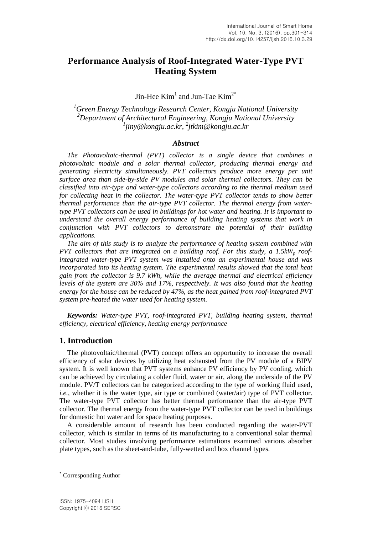# **Performance Analysis of Roof-Integrated Water-Type PVT Heating System**

Jin-Hee  $Kim<sup>1</sup>$  and Jun-Tae  $Kim<sup>2*</sup>$ 

*<sup>1</sup>Green Energy Technology Research Center, Kongju National University <sup>2</sup>Department of Architectural Engineering, Kongju National University 1 jiny@kongju.ac.kr, 2 jtkim@kongju.ac.kr*

### *Abstract*

*The Photovoltaic-thermal (PVT) collector is a single device that combines a photovoltaic module and a solar thermal collector, producing thermal energy and generating electricity simultaneously. PVT collectors produce more energy per unit surface area than side-by-side PV modules and solar thermal collectors. They can be classified into air-type and water-type collectors according to the thermal medium used for collecting heat in the collector. The water-type PVT collector tends to show better thermal performance than the air-type PVT collector. The thermal energy from watertype PVT collectors can be used in buildings for hot water and heating. It is important to understand the overall energy performance of building heating systems that work in conjunction with PVT collectors to demonstrate the potential of their building applications.*

*The aim of this study is to analyze the performance of heating system combined with PVT collectors that are integrated on a building roof. For this study, a 1.5kW<sup>p</sup> roofintegrated water-type PVT system was installed onto an experimental house and was incorporated into its heating system. The experimental results showed that the total heat gain from the collector is 9.7 kWh, while the average thermal and electrical efficiency levels of the system are 30% and 17%, respectively. It was also found that the heating energy for the house can be reduced by 47%, as the heat gained from roof-integrated PVT system pre-heated the water used for heating system.*

*Keywords: Water-type PVT, roof-integrated PVT, building heating system, thermal efficiency, electrical efficiency, heating energy performance*

## **1. Introduction**

The photovoltaic/thermal (PVT) concept offers an opportunity to increase the overall efficiency of solar devices by utilizing heat exhausted from the PV module of a BIPV system. It is well known that PVT systems enhance PV efficiency by PV cooling, which can be achieved by circulating a colder fluid, water or air, along the underside of the PV module. PV/T collectors can be categorized according to the type of working fluid used, *i.e.*, whether it is the water type, air type or combined (water/air) type of PVT collector. The water-type PVT collector has better thermal performance than the air-type PVT collector. The thermal energy from the water-type PVT collector can be used in buildings for domestic hot water and for space heating purposes.

A considerable amount of research has been conducted regarding the water-PVT collector, which is similar in terms of its manufacturing to a conventional solar thermal collector. Most studies involving performance estimations examined various absorber plate types, such as the sheet-and-tube, fully-wetted and box channel types.

l

Corresponding Author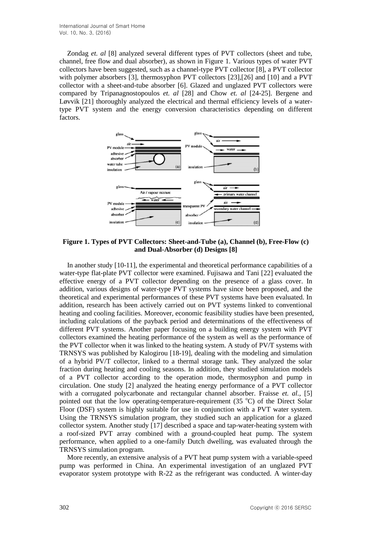Zondag *et. al* [8] analyzed several different types of PVT collectors (sheet and tube, channel, free flow and dual absorber), as shown in Figure 1. Various types of water PVT collectors have been suggested, such as a channel-type PVT collector [8], a PVT collector with polymer absorbers [3], thermosyphon PVT collectors [23],[26] and [10] and a PVT collector with a sheet-and-tube absorber [6]. Glazed and unglazed PVT collectors were compared by Tripanagnostopoulos *et. al* [28] and Chow *et. al* [24-25]. Bergene and Løvvik [21] thoroughly analyzed the electrical and thermal efficiency levels of a watertype PVT system and the energy conversion characteristics depending on different factors.



**Figure 1. Types of PVT Collectors: Sheet-and-Tube (a), Channel (b), Free-Flow (c) and Dual-Absorber (d) Designs [8]**

In another study [10-11], the experimental and theoretical performance capabilities of a water-type flat-plate PVT collector were examined. Fujisawa and Tani [22] evaluated the effective energy of a PVT collector depending on the presence of a glass cover. In addition, various designs of water-type PVT systems have since been proposed, and the theoretical and experimental performances of these PVT systems have been evaluated. In addition, research has been actively carried out on PVT systems linked to conventional heating and cooling facilities. Moreover, economic feasibility studies have been presented, including calculations of the payback period and determinations of the effectiveness of different PVT systems. Another paper focusing on a building energy system with PVT collectors examined the heating performance of the system as well as the performance of the PVT collector when it was linked to the heating system. A study of PV/T systems with TRNSYS was published by Kalogirou [18-19], dealing with the modeling and simulation of a hybrid PV/T collector, linked to a thermal storage tank. They analyzed the solar fraction during heating and cooling seasons. In addition, they studied simulation models of a PVT collector according to the operation mode, thermosyphon and pump in circulation. One study [2] analyzed the heating energy performance of a PVT collector with a corrugated polycarbonate and rectangular channel absorber. Fraisse *et. al.,* [5] pointed out that the low operating-temperature-requirement  $(35 \degree C)$  of the Direct Solar Floor (DSF) system is highly suitable for use in conjunction with a PVT water system. Using the TRNSYS simulation program, they studied such an application for a glazed collector system. Another study [17] described a space and tap-water-heating system with a roof-sized PVT array combined with a ground-coupled heat pump. The system performance, when applied to a one-family Dutch dwelling, was evaluated through the TRNSYS simulation program.

More recently, an extensive analysis of a PVT heat pump system with a variable-speed pump was performed in China. An experimental investigation of an unglazed PVT evaporator system prototype with R-22 as the refrigerant was conducted. A winter-day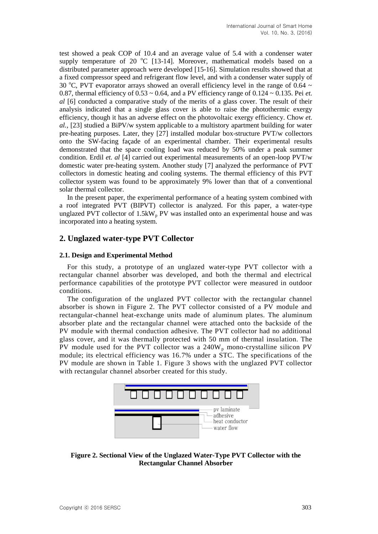test showed a peak COP of 10.4 and an average value of 5.4 with a condenser water supply temperature of 20  $\degree$ C [13-14]. Moreover, mathematical models based on a distributed parameter approach were developed [15-16]. Simulation results showed that at a fixed compressor speed and refrigerant flow level, and with a condenser water supply of 30 °C. PVT evaporator arrays showed an overall efficiency level in the range of 0.64  $\sim$ 0.87, thermal efficiency of 0.53 ~ 0.64, and a PV efficiency range of 0.124 ~ 0.135. Pei *et. al* [6] conducted a comparative study of the merits of a glass cover. The result of their analysis indicated that a single glass cover is able to raise the photothermic exergy efficiency, though it has an adverse effect on the photovoltaic exergy efficiency. Chow *et. al.,* [23] studied a BiPV/w system applicable to a multistory apartment building for water pre-heating purposes. Later, they [27] installed modular box-structure PVT/w collectors onto the SW-facing façade of an experimental chamber. Their experimental results demonstrated that the space cooling load was reduced by 50% under a peak summer condition. Erdil *et. al* [4] carried out experimental measurements of an open-loop PVT/w domestic water pre-heating system. Another study [7] analyzed the performance of PVT collectors in domestic heating and cooling systems. The thermal efficiency of this PVT collector system was found to be approximately 9% lower than that of a conventional solar thermal collector.

In the present paper, the experimental performance of a heating system combined with a roof integrated PVT (BIPVT) collector is analyzed. For this paper, a water-type unglazed PVT collector of  $1.5kW<sub>p</sub>$  PV was installed onto an experimental house and was incorporated into a heating system.

# **2. Unglazed water-type PVT Collector**

#### **2.1. Design and Experimental Method**

For this study, a prototype of an unglazed water-type PVT collector with a rectangular channel absorber was developed, and both the thermal and electrical performance capabilities of the prototype PVT collector were measured in outdoor conditions.

The configuration of the unglazed PVT collector with the rectangular channel absorber is shown in Figure 2. The PVT collector consisted of a PV module and rectangular-channel heat-exchange units made of aluminum plates. The aluminum absorber plate and the rectangular channel were attached onto the backside of the PV module with thermal conduction adhesive. The PVT collector had no additional glass cover, and it was thermally protected with 50 mm of thermal insulation. The PV module used for the PVT collector was a  $240W_p$  mono-crystalline silicon PV module; its electrical efficiency was 16.7% under a STC. The specifications of the PV module are shown in Table 1. Figure 3 shows with the unglazed PVT collector with rectangular channel absorber created for this study.



**Figure 2. Sectional View of the Unglazed Water-Type PVT Collector with the Rectangular Channel Absorber**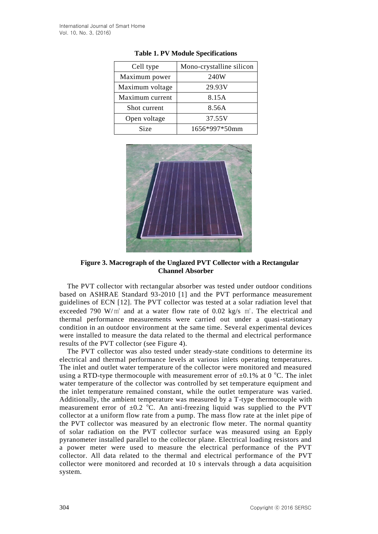| Cell type       | Mono-crystalline silicon |
|-----------------|--------------------------|
| Maximum power   | 240W                     |
| Maximum voltage | 29.93V                   |
| Maximum current | 8.15A                    |
| Shot current    | 8.56A                    |
| Open voltage    | 37.55V                   |
| Size            | 1656*997*50mm            |

**Table 1. PV Module Specifications**



**Figure 3. Macrograph of the Unglazed PVT Collector with a Rectangular Channel Absorber**

The PVT collector with rectangular absorber was tested under outdoor conditions based on ASHRAE Standard 93-2010 [1] and the PVT performance measurement guidelines of ECN [12]. The PVT collector was tested at a solar radiation level that exceeded 790 W/m<sup>2</sup> and at a water flow rate of 0.02 kg/s m<sup>2</sup>. The electrical and thermal performance measurements were carried out under a quasi-stationary condition in an outdoor environment at the same time. Several experimental devices were installed to measure the data related to the thermal and electrical performance results of the PVT collector (see Figure 4).

The PVT collector was also tested under steady-state conditions to determine its electrical and thermal performance levels at various inlets operating temperatures. The inlet and outlet water temperature of the collector were monitored and measured using a RTD-type thermocouple with measurement error of  $\pm 0.1\%$  at 0 °C. The inlet water temperature of the collector was controlled by set temperature equipment and the inlet temperature remained constant, while the outlet temperature was varied. Additionally, the ambient temperature was measured by a T-type thermocouple with measurement error of  $\pm 0.2$  °C. An anti-freezing liquid was supplied to the PVT collector at a uniform flow rate from a pump. The mass flow rate at the inlet pipe of the PVT collector was measured by an electronic flow meter. The normal quantity of solar radiation on the PVT collector surface was measured using an Epply pyranometer installed parallel to the collector plane. Electrical loading resistors and a power meter were used to measure the electrical performance of the PVT collector. All data related to the thermal and electrical performance of the PVT collector were monitored and recorded at 10 s intervals through a data acquisition system.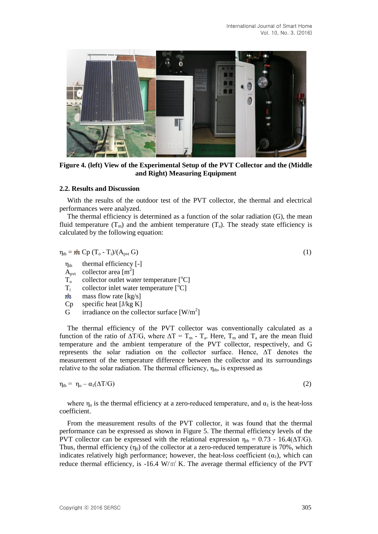

**Figure 4. (left) View of the Experimental Setup of the PVT Collector and the (Middle and Right) Measuring Equipment**

#### **2.2. Results and Discussion**

With the results of the outdoor test of the PVT collector, the thermal and electrical performances were analyzed.

The thermal efficiency is determined as a function of the solar radiation (G), the mean fluid temperature  $(T_m)$  and the ambient temperature  $(T_a)$ . The steady state efficiency is calculated by the following equation:

 $\eta_{\text{th}} = \dot{m} \text{ Cp} (\text{T}_o - \text{T}_i) / (\text{A}_{\text{pvt}} \text{ G})$  (1)

$$
\eta_{th}
$$
 thermal efficiency [-]

- $\overrightarrow{A}_{\text{pvt}}$  collector area [m<sup>2</sup>]
- $T_o$  collector outlet water temperature  $[°C]$ <br> $T_i$  collector inlet water temperature  $[°C]$
- collector inlet water temperature  $[°C]$
- $\dot m$ mass flow rate [kg/s]
- $Cp$  specific heat [J/kg K]
- $\tilde{G}$  irradiance on the collector surface [W/m<sup>2</sup>]

The thermal efficiency of the PVT collector was conventionally calculated as a function of the ratio of  $\Delta T/G$ , where  $\Delta T = T_m - T_a$ . Here,  $T_m$  and  $T_a$  are the mean fluid temperature and the ambient temperature of the PVT collector, respectively, and G represents the solar radiation on the collector surface. Hence, ∆T denotes the measurement of the temperature difference between the collector and its surroundings relative to the solar radiation. The thermal efficiency,  $\eta_{th}$ , is expressed as

$$
\eta_{\text{th}} = \eta_{\text{o}} - \alpha_1(\Delta T/G) \tag{2}
$$

where  $\eta_0$  is the thermal efficiency at a zero-reduced temperature, and  $\alpha_1$  is the heat-loss coefficient.

From the measurement results of the PVT collector, it was found that the thermal performance can be expressed as shown in Figure 5. The thermal efficiency levels of the PVT collector can be expressed with the relational expression  $\eta_{th} = 0.73 - 16.4(\Delta T/G)$ . Thus, thermal efficiency  $(\eta_0)$  of the collector at a zero-reduced temperature is 70%, which indicates relatively high performance; however, the heat-loss coefficient  $(\alpha_1)$ , which can reduce thermal efficiency, is -16.4 W/㎡ K. The average thermal efficiency of the PVT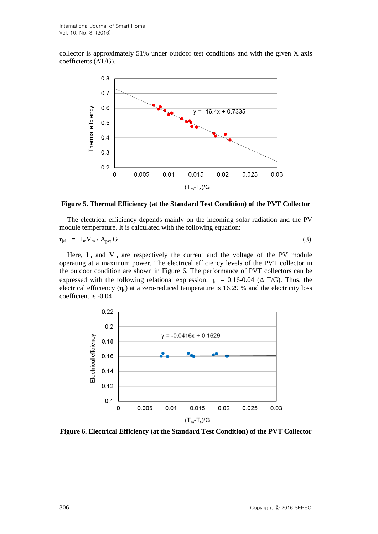collector is approximately 51% under outdoor test conditions and with the given X axis coefficients (∆T/G).



**Figure 5. Thermal Efficiency (at the Standard Test Condition) of the PVT Collector**

The electrical efficiency depends mainly on the incoming solar radiation and the PV module temperature. It is calculated with the following equation:

$$
\eta_{el} = I_m V_m / A_{\text{pvt}} G \tag{3}
$$

Here,  $I_m$  and  $V_m$  are respectively the current and the voltage of the PV module operating at a maximum power. The electrical efficiency levels of the PVT collector in the outdoor condition are shown in Figure 6. The performance of PVT collectors can be expressed with the following relational expression:  $\eta_{el} = 0.16{\text -}0.04$  ( $\Delta$  T/G). Thus, the electrical efficiency  $(\eta_0)$  at a zero-reduced temperature is 16.29 % and the electricity loss coefficient is -0.04.



**Figure 6. Electrical Efficiency (at the Standard Test Condition) of the PVT Collector**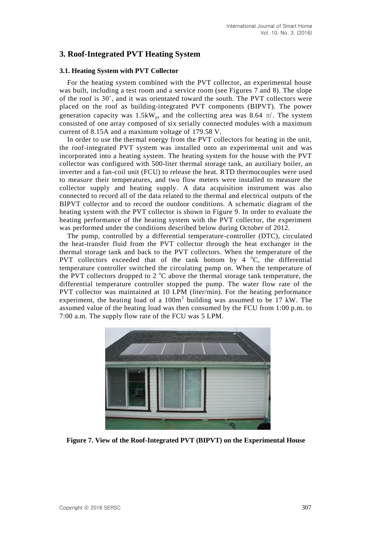# **3. Roof-Integrated PVT Heating System**

#### **3.1. Heating System with PVT Collector**

For the heating system combined with the PVT collector, an experimental house was built, including a test room and a service room (see Figures 7 and 8). The slope of the roof is 30˚, and it was orientated toward the south. The PVT collectors were placed on the roof as building-integrated PVT components (BIPVT). The power generation capacity was  $1.5kW_p$ , and the collecting area was 8.64  $m^2$ . The system consisted of one array composed of six serially connected modules with a maximum current of 8.15A and a maximum voltage of 179.58 V.

In order to use the thermal energy from the PVT collectors for heating in the unit, the roof-integrated PVT system was installed onto an experimental unit and was incorporated into a heating system. The heating system for the house with the PVT collector was configured with 500-liter thermal storage tank, an auxiliary boiler, an inverter and a fan-coil unit (FCU) to release the heat. RTD thermocouples were used to measure their temperatures, and two flow meters were installed to measure the collector supply and heating supply. A data acquisition instrument was also connected to record all of the data related to the thermal and electrical outputs of the BIPVT collector and to record the outdoor conditions. A schematic diagram of the heating system with the PVT collector is shown in Figure 9. In order to evaluate the heating performance of the heating system with the PVT collector, the experiment was performed under the conditions described below during October of 2012.

The pump, controlled by a differential temperature-controller (DTC), circulated the heat-transfer fluid from the PVT collector through the heat exchanger in the thermal storage tank and back to the PVT collectors. When the temperature of the PVT collectors exceeded that of the tank bottom by  $4 \degree C$ , the differential temperature controller switched the circulating pump on. When the temperature of the PVT collectors dropped to 2  $^{\circ}$ C above the thermal storage tank temperature, the differential temperature controller stopped the pump. The water flow rate of the PVT collector was maintained at 10 LPM (liter/min). For the heating performance experiment, the heating load of a  $100m<sup>2</sup>$  building was assumed to be 17 kW. The assumed value of the heating load was then consumed by the FCU from 1:00 p.m. to 7:00 a.m. The supply flow rate of the FCU was 5 LPM.



**Figure 7. View of the Roof-Integrated PVT (BIPVT) on the Experimental House**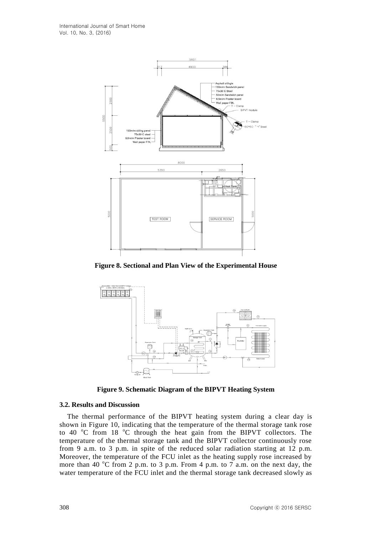

**Figure 8. Sectional and Plan View of the Experimental House**



**Figure 9. Schematic Diagram of the BIPVT Heating System**

#### **3.2. Results and Discussion**

The thermal performance of the BIPVT heating system during a clear day is shown in Figure 10, indicating that the temperature of the thermal storage tank rose to 40  $\degree$ C from 18  $\degree$ C through the heat gain from the BIPVT collectors. The temperature of the thermal storage tank and the BIPVT collector continuously rose from 9 a.m. to 3 p.m. in spite of the reduced solar radiation starting at 12 p.m. Moreover, the temperature of the FCU inlet as the heating supply rose increased by more than 40  $^{\circ}$ C from 2 p.m. to 3 p.m. From 4 p.m. to 7 a.m. on the next day, the water temperature of the FCU inlet and the thermal storage tank decreased slowly as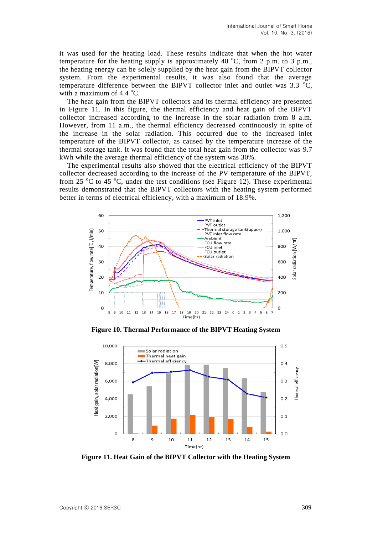it was used for the heating load. These results indicate that when the hot water temperature for the heating supply is approximately 40  $^{\circ}C$ , from 2 p.m. to 3 p.m., the heating energy can be solely supplied by the heat gain from the BIPVT collector system. From the experimental results, it was also found that the average temperature difference between the BIPVT collector inlet and outlet was  $3.3 \text{ °C}$ , with a maximum of  $4.4 \text{ °C}$ .

The heat gain from the BIPVT collectors and its thermal efficiency are presented in Figure 11. In this figure, the thermal efficiency and heat gain of the BIPVT collector increased according to the increase in the solar radiation from 8 a.m. However, from 11 a.m., the thermal efficiency decreased continuously in spite of the increase in the solar radiation. This occurred due to the increased inlet temperature of the BIPVT collector, as caused by the temperature increase of the thermal storage tank. It was found that the total heat gain from the collector was 9.7 kWh while the average thermal efficiency of the system was 30%.

The experimental results also showed that the electrical efficiency of the BIPVT collector decreased according to the increase of the PV temperature of the BIPVT, from 25  $\degree$ C to 45  $\degree$ C, under the test conditions (see Figure 12). These experimental results demonstrated that the BIPVT collectors with the heating system performed better in terms of electrical efficiency, with a maximum of 18.9%.



**Figure 10. Thermal Performance of the BIPVT Heating System**



**Figure 11. Heat Gain of the BIPVT Collector with the Heating System**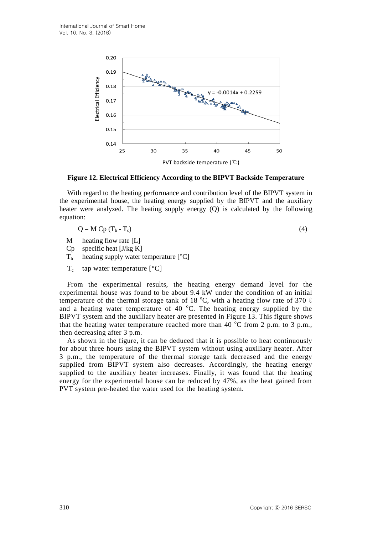

**Figure 12. Electrical Efficiency According to the BIPVT Backside Temperature**

With regard to the heating performance and contribution level of the BIPVT system in the experimental house, the heating energy supplied by the BIPVT and the auxiliary heater were analyzed. The heating supply energy (Q) is calculated by the following equation:

$$
Q = M Cp (Th - Tc)
$$
 (4)

- M heating flow rate [L]
- $Cp$  specific heat [J/kg K]
- $T<sub>h</sub>$  heating supply water temperature [ $°C$ ]
- $T_c$ tap water temperature [°C]

From the experimental results, the heating energy demand level for the experimental house was found to be about 9.4 kW under the condition of an initial temperature of the thermal storage tank of 18  $^{\circ}$ C, with a heating flow rate of 370  $\ell$ and a heating water temperature of 40  $^{\circ}$ C. The heating energy supplied by the BIPVT system and the auxiliary heater are presented in Figure 13. This figure shows that the heating water temperature reached more than 40  $^{\circ}$ C from 2 p.m., to 3 p.m., then decreasing after 3 p.m.

As shown in the figure, it can be deduced that it is possible to heat continuously for about three hours using the BIPVT system without using auxiliary heater. After 3 p.m., the temperature of the thermal storage tank decreased and the energy supplied from BIPVT system also decreases. Accordingly, the heating energy supplied to the auxiliary heater increases. Finally, it was found that the heating energy for the experimental house can be reduced by 47%, as the heat gained from PVT system pre-heated the water used for the heating system.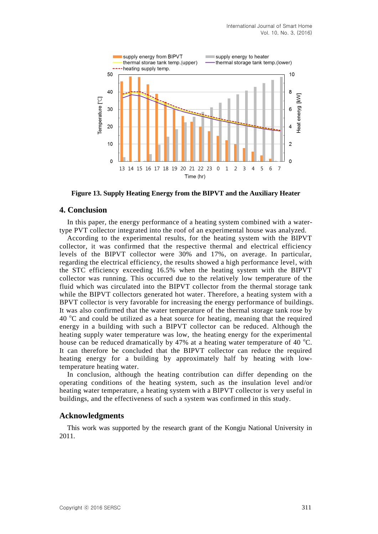

**Figure 13. Supply Heating Energy from the BIPVT and the Auxiliary Heater**

#### **4. Conclusion**

In this paper, the energy performance of a heating system combined with a watertype PVT collector integrated into the roof of an experimental house was analyzed.

According to the experimental results, for the heating system with the BIPVT collector, it was confirmed that the respective thermal and electrical efficiency levels of the BIPVT collector were 30% and 17%, on average. In particular, regarding the electrical efficiency, the results showed a high performance level, with the STC efficiency exceeding 16.5% when the heating system with the BIPVT collector was running. This occurred due to the relatively low temperature of the fluid which was circulated into the BIPVT collector from the thermal storage tank while the BIPVT collectors generated hot water. Therefore, a heating system with a BPVT collector is very favorable for increasing the energy performance of buildings. It was also confirmed that the water temperature of the thermal storage tank rose by  $40^{\circ}$ C and could be utilized as a heat source for heating, meaning that the required energy in a building with such a BIPVT collector can be reduced. Although the heating supply water temperature was low, the heating energy for the experimental house can be reduced dramatically by 47% at a heating water temperature of 40  $^{\circ}$ C. It can therefore be concluded that the BIPVT collector can reduce the required heating energy for a building by approximately half by heating with lowtemperature heating water.

In conclusion, although the heating contribution can differ depending on the operating conditions of the heating system, such as the insulation level and/or heating water temperature, a heating system with a BIPVT collector is very useful in buildings, and the effectiveness of such a system was confirmed in this study.

#### **Acknowledgments**

This work was supported by the research grant of the Kongju National University in 2011.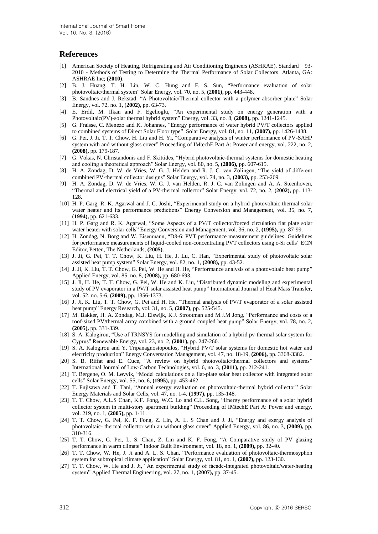#### **References**

- [1] American Society of Heating, Refrigerating and Air Conditioning Engineers (ASHRAE), Standard 93- 2010 - Methods of Testing to Determine the Thermal Performance of Solar Collectors. Atlanta, GA: ASHRAE Inc; **(2010)**.
- [2] B. J. Huang, T. H. Lin, W. C. Hung and F. S. Sun, "Performance evaluation of solar photovoltaic/thermal system" Solar Energy, vol. 70, no. 5, **(2001),** pp. 443-448.
- [3] B. Sandnes and J. Rekstad, "A Photovoltaic/Thermal collector with a polymer absorber plate" Solar Energy, vol. 72, no. 1, (**2002),** pp. 63-73.
- [4] E. Erdil, M. Ilkan and F. Egelioglu, "An experimental study on energy generation with a Photovoltaic(PV)-solar thermal hybrid system" Energy, vol. 33, no. 8, **(2008),** pp. 1241-1245.
- [5] G. Fraisse, C. Menezo and K. Johannes, "Energy performance of water hybrid PV/T collectors applied to combined systems of Direct Solar Floor type" Solar Energy, vol. 81, no. 11, **(2007),** pp. 1426-1438.
- [6] G. Pei, J. Ji, T. T. Chow, H. Liu and H. Yi, "Comparative analysis of winter performance of PV-SAHP system with and without glass cover" Proceeding of IMtechE Part A: Power and energy, vol. 222, no. 2, **(2008),** pp. 179-187.
- [7] G. Vokas, N. Christandonis and F. Skittides, "Hybrid photovoltaic-thermal systems for domestic heating and cooling a theoretical approach" Solar Energy, vol. 80, no. 5, **(2006),** pp. 607-615.
- [8] H. A. Zondag, D. W. de Vries, W. G. J. Helden and R. J. C. van Zolingen, "The yield of different combined PV-thermal collector designs" Solar Energy, vol. 74, no. 3, **(2003),** pp. 253-269.
- [9] H. A. Zondag, D. W. de Vries, W. G. J. van Helden, R. J. C. van Zolingen and A. A. Steenhoven, "Thermal and electrical yield of a PV-thermal collector" Solar Energy, vol. 72, no. 2, **(2002),** pp. 113- 128.
- [10] H. P. Garg, R. K. Agarwal and J. C. Joshi, "Experimental study on a hybrid photovoltaic thermal solar water heater and its performance predictions" Energy Conversion and Management, vol. 35, no. 7, (**1994),** pp. 621-633.
- [11] H. P. Garg and R. K. Agarwal, "Some Aspects of a PV/T collector/forced circulation flat plate solar water heater with solar cells" Energy Conversion and Management, vol. 36, no. 2, **(1995),** pp. 87-99.
- [12] H. Zondag, N. Borg and W. Eisenmann, "D8-6: PVT performance measurement guidelines: Guidelines for performance measurements of liquid-cooled non-concentrating PVT collectors using c-Si cells" ECN Editor, Petten, The Netherlands, **(2005)**.
- [13] J. Ji, G. Pei, T. T. Chow, K. Liu, H. He, J. Lu, C. Han, "Experimental study of photovoltaic solar assisted heat pump system" Solar Energy, vol. 82, no. 1, **(2008),** pp. 43-52.
- [14] J. Ji, K. Liu, T. T. Chow, G. Pei, W. He and H. He, "Performance analysis of a photovoltaic heat pump" Applied Energy, vol. 85, no. 8, **(2008),** pp. 680-693.
- [15] J. Ji, H. He, T. T. Chow, G. Pei, W. He and K. Liu, "Distributed dynamic modeling and experimental study of PV evaporator in a PV/T solar assisted heat pump" International Journal of Heat Mass Transfer, vol. 52, no. 5-6, **(2009),** pp. 1356-1373.
- [16] J. Ji, K. Liu, T. T. Chow, G. Pei and H. He, "Thermal analysis of PV/T evaporator of a solar assisted heat pump" Energy Research, vol. 31, no. 5, **(2007)**, pp. 525-545.
- [17] M. Bakker, H. A. Zondag, M.J. Elswijk, K.J. Strootman and M.J.M Jong, "Performance and costs of a roof-sized PV/thermal array combined with a ground coupled heat pump" Solar Energy, vol. 78, no. 2, **(2005),** pp. 331-339.
- [18] S. A. Kalogirou, "Use of TRNSYS for modelling and simulation of a hybrid pv-thermal solar system for Cyprus" Renewable Energy, vol. 23, no. 2, **(2001),** pp. 247-260.
- [19] S. A. Kalogirou and Y. Tripanagnostopoulos, "Hybrid PV/T solar systems for domestic hot water and electricity production" Energy Conversation Management, vol. 47, no. 18-19, **(2006),** pp. 3368-3382.
- [20] S. B. Riffat and E. Cuce, "A review on hybrid photovoltaic/thermal collectors and systems" International Journal of Low-Carbon Technologies, vol. 6, no. 3, **(2011),** pp. 212-241.
- [21] T. Bergene, O. M. Løvvik, "Model calculations on a flat-plate solar heat collector with integrated solar cells" Solar Energy, vol. 55, no. 6, **(1995),** pp. 453-462.
- [22] T. Fujisawa and T. Tani, "Annual exergy evaluation on photovoltaic-thermal hybrid collector" Solar Energy Materials and Solar Cells, vol. 47, no. 1-4, **(1997),** pp. 135-148.
- [23] T. T. Chow, A.L.S Chan, K.F. Fong, W.C. Lo and C.L. Song, "Energy performance of a solar hybrid collector system in multi-story apartment building" Proceeding of IMtechE Part A: Power and energy, vol. 219, no. 1, **(2005),** pp. 1-11.
- [24] T. T. Chow, G. Pei, K. F. Fong, Z. Lin, A. L. S Chan and J. Ji, "Energy and exergy analysis of photovoltaic- thermal collector with an without glass cover" Applied Energy, vol. 86, no. 3, **(2009),** pp. 310-316.
- [25] T. T. Chow, G. Pei, L. S. Chan, Z. Lin and K. F. Fong, "A Comparative study of PV glazing performance in warm climate" Indoor Built Environment, vol. 18, no. 1, **(2009),** pp. 32-40.
- [26] T. T. Chow, W. He, J. Ji and A. L. S. Chan, "Performance evaluation of photovoltaic-thermosyphon system for subtropical climate application" Solar Energy, vol. 81, no. 1, **(2007),** pp. 123-130.
- [27] T. T. Chow, W. He and J. Ji, "An experimental study of facade-integrated photovoltaic/water-heating system" Applied Thermal Engineering, vol. 27, no. 1, **(2007),** pp. 37-45.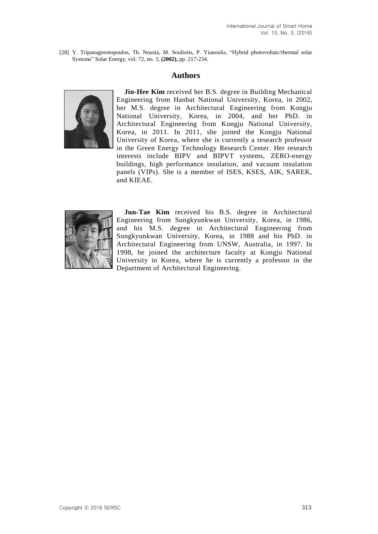[28] Y. Tripanagnostopoulos, Th. Nousia, M. Souliotis, P. Yianoulis, "Hybrid photovoltaic/thermal solar Systems" Solar Energy, vol. 72, no. 3, **(2002),** pp. 217-234.

## **Authors**



**Jin-Hee Kim** received her B.S. degree in Building Mechanical Engineering from Hanbat National University, Korea, in 2002, her M.S. degree in Architectural Engineering from Kongju National University, Korea, in 2004, and her PhD. in Architectural Engineering from Kongju National University, Korea, in 2011. In 2011, she joined the Kongju National University of Korea, where she is currently a research professor in the Green Energy Technology Research Center. Her research interests include BIPV and BIPVT systems, ZERO-energy buildings, high performance insulation, and vacuum insulation panels (VIPs). She is a member of ISES, KSES, AIK, SAREK, and KIEAE.



Jun-Tae Kim received his B.S. degree in Architectural Engineering from Sungkyunkwan University, Korea, in 1986, and his M.S. degree in Architectural Engineering from Sungkyunkwan University, Korea, in 1988 and his PhD. in Architectural Engineering from UNSW, Australia, in 1997. In 1998, he joined the architecture faculty at Kongju National University in Korea, where he is currently a professor in the Department of Architectural Engineering.